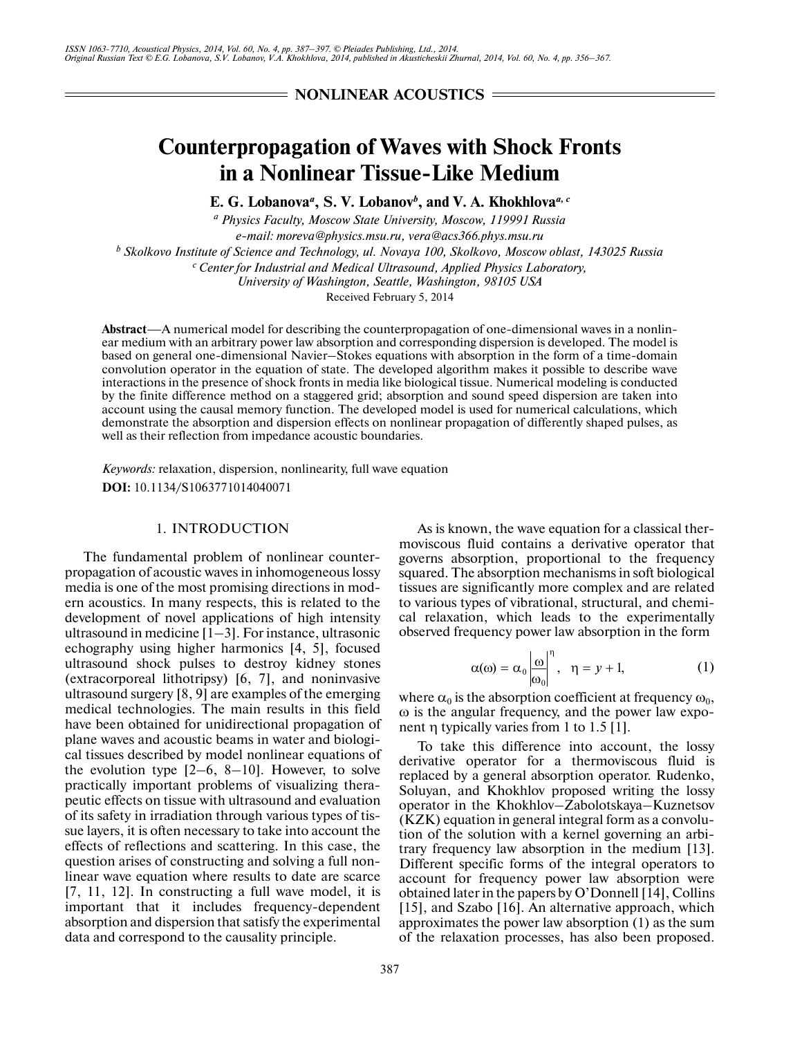## **NONLINEAR ACOUSTICS =**

# **Counterpropagation of Waves with Shock Fronts in a Nonlinear Tissue-Like Medium**

E. G. Lobanova<sup>*a*</sup>, S. V. Lobanov<sup>*b*</sup>, and V. A. Khokhlova<sup>*a*, *c*</sup>

*a Physics Faculty, Moscow State University, Moscow, 119991 Russia e-mail: moreva@physics.msu.ru, vera@acs366.phys.msu.ru b Skolkovo Institute of Science and Technology, ul. Novaya 100, Skolkovo, Moscow oblast, 143025 Russia* <sup>c</sup> Center for Industrial and Medical Ultrasound, Applied Physics Laboratory, *University of Washington, Seattle, Washington, 98105 USA*

Received February 5, 2014

**Abstract**—A numerical model for describing the counterpropagation of one-dimensional waves in a nonlin ear medium with an arbitrary power law absorption and corresponding dispersion is developed. The model is based on general one-dimensional Navier–Stokes equations with absorption in the form of a time-domain convolution operator in the equation of state. The developed algorithm makes it possible to describe wave interactions in the presence of shock fronts in media like biological tissue. Numerical modeling is conducted by the finite difference method on a staggered grid; absorption and sound speed dispersion are taken into account using the causal memory function. The developed model is used for numerical calculations, which demonstrate the absorption and dispersion effects on nonlinear propagation of differently shaped pulses, as well as their reflection from impedance acoustic boundaries.

*Keywords:* relaxation, dispersion, nonlinearity, full wave equation **DOI:** 10.1134/S1063771014040071

## 1. INTRODUCTION

The fundamental problem of nonlinear counter propagation of acoustic waves in inhomogeneous lossy media is one of the most promising directions in mod ern acoustics. In many respects, this is related to the development of novel applications of high intensity ultrasound in medicine  $[1-3]$ . For instance, ultrasonic echography using higher harmonics [4, 5], focused ultrasound shock pulses to destroy kidney stones (extracorporeal lithotripsy) [6, 7], and noninvasive ultrasound surgery [8, 9] are examples of the emerging medical technologies. The main results in this field have been obtained for unidirectional propagation of plane waves and acoustic beams in water and biologi cal tissues described by model nonlinear equations of the evolution type  $[2-6, 8-10]$ . However, to solve practically important problems of visualizing thera peutic effects on tissue with ultrasound and evaluation of its safety in irradiation through various types of tis sue layers, it is often necessary to take into account the effects of reflections and scattering. In this case, the question arises of constructing and solving a full non linear wave equation where results to date are scarce [7, 11, 12]. In constructing a full wave model, it is important that it includes frequency-dependent absorption and dispersion that satisfy the experimental data and correspond to the causality principle.

387

As is known, the wave equation for a classical thermoviscous fluid contains a derivative operator that governs absorption, proportional to the frequency squared. The absorption mechanisms in soft biological tissues are significantly more complex and are related to various types of vibrational, structural, and chemi cal relaxation, which leads to the experimentally observed frequency power law absorption in the form

$$
\alpha(\omega) = \alpha_0 \left| \frac{\omega}{\omega_0} \right|^{\eta}, \quad \eta = y + 1,\tag{1}
$$

where  $\alpha_0$  is the absorption coefficient at frequency  $\omega_0$ , ω is the angular frequency, and the power law expo nent η typically varies from 1 to 1.5 [1].

To take this difference into account, the lossy derivative operator for a thermoviscous fluid is replaced by a general absorption operator. Rudenko, Soluyan, and Khokhlov proposed writing the lossy operator in the Khokhlov–Zabolotskaya–Kuznetsov (KZK) equation in general integral form as a convolu tion of the solution with a kernel governing an arbi trary frequency law absorption in the medium [13]. Different specific forms of the integral operators to account for frequency power law absorption were obtained later in the papers by O'Donnell [14], Collins [15], and Szabo [16]. An alternative approach, which approximates the power law absorption (1) as the sum of the relaxation processes, has also been proposed.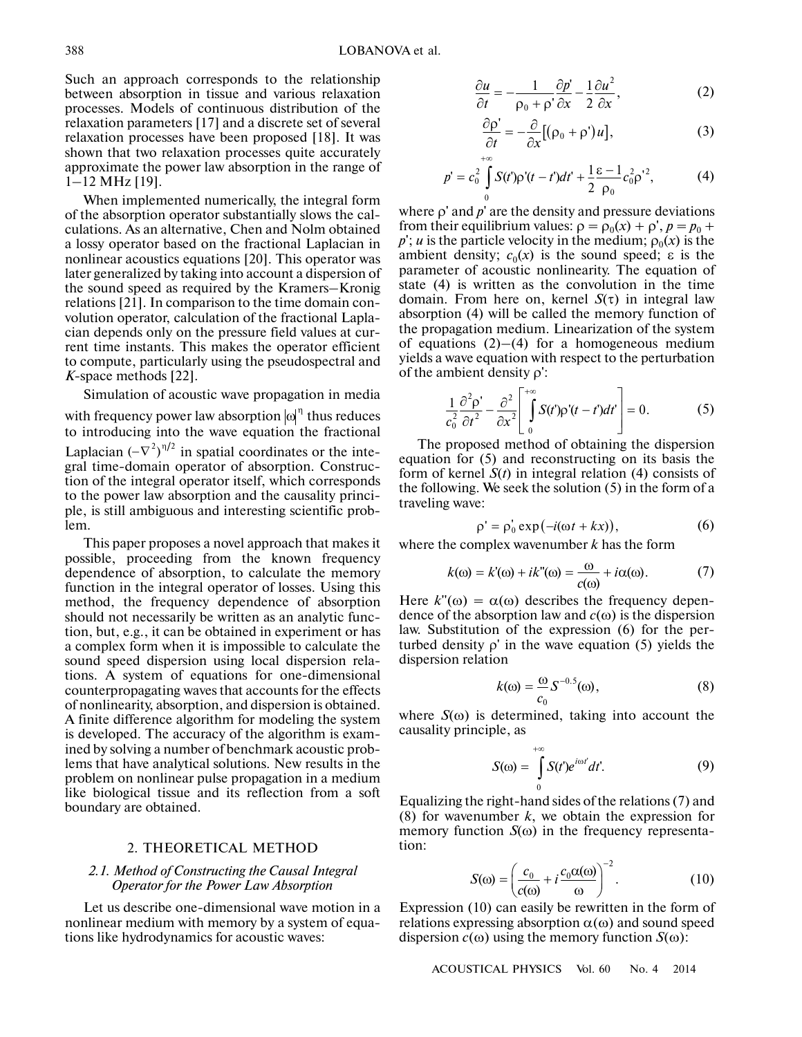Such an approach corresponds to the relationship between absorption in tissue and various relaxation processes. Models of continuous distribution of the relaxation parameters [17] and a discrete set of several relaxation processes have been proposed [18]. It was shown that two relaxation processes quite accurately approximate the power law absorption in the range of 1–12 MHz [19].

When implemented numerically, the integral form of the absorption operator substantially slows the cal culations. As an alternative, Chen and Nolm obtained a lossy operator based on the fractional Laplacian in nonlinear acoustics equations [20]. This operator was later generalized by taking into account a dispersion of the sound speed as required by the Kramers–Kronig relations [21]. In comparison to the time domain con volution operator, calculation of the fractional Lapla cian depends only on the pressure field values at cur rent time instants. This makes the operator efficient to compute, particularly using the pseudospectral and *K*-space methods [22].

Simulation of acoustic wave propagation in media with frequency power law absorption  $|\omega|^{\eta}$  thus reduces to introducing into the wave equation the fractional **K**-space methods [22].<br>
Simulation of acoustic wave propagation in media<br>
with frequency power law absorption  $|\omega|^{\eta}$  thus reduces<br>
to introducing into the wave equation the fractional<br>
Laplacian  $(-\nabla^2)^{\eta/2}$  in spat gral time-domain operator of absorption. Construc tion of the integral operator itself, which corresponds to the power law absorption and the causality princi ple, is still ambiguous and interesting scientific prob lem.

This paper proposes a novel approach that makes it possible, proceeding from the known frequency dependence of absorption, to calculate the memory function in the integral operator of losses. Using this method, the frequency dependence of absorption should not necessarily be written as an analytic func tion, but, e.g., it can be obtained in experiment or has a complex form when it is impossible to calculate the sound speed dispersion using local dispersion rela tions. A system of equations for one-dimensional counterpropagating waves that accounts for the effects of nonlinearity, absorption, and dispersion is obtained. A finite difference algorithm for modeling the system is developed. The accuracy of the algorithm is exam ined by solving a number of benchmark acoustic prob lems that have analytical solutions. New results in the problem on nonlinear pulse propagation in a medium like biological tissue and its reflection from a soft boundary are obtained.

## 2. THEORETICAL METHOD

## *2.1. Method of Constructing the Causal Integral Operator for the Power Law Absorption*

Let us describe one-dimensional wave motion in a nonlinear medium with memory by a system of equa tions like hydrodynamics for acoustic waves:

$$
\frac{\partial u}{\partial t} = -\frac{1}{\rho_0 + \rho'} \frac{\partial p'}{\partial x} - \frac{1}{2} \frac{\partial u^2}{\partial x},\tag{2}
$$

$$
\frac{\partial \rho'}{\partial t} = -\frac{\partial}{\partial x} [(\rho_0 + \rho') u], \qquad (3)
$$

$$
p' = c_0^2 \int_0^{+\infty} S(t') \rho'(t - t') dt' + \frac{1}{2} \frac{\varepsilon - 1}{\rho_0} c_0^2 \rho'^2, \tag{4}
$$

where ρ' and *p*' are the density and pressure deviations from their equilibrium values:  $\rho = \rho_0(x) + \rho', p = p_0 + \rho'$  $p'$ ; *u* is the particle velocity in the medium;  $\rho_0(x)$  is the ambient density;  $c_0(x)$  is the sound speed;  $\varepsilon$  is the parameter of acoustic nonlinearity. The equation of state (4) is written as the convolution in the time domain. From here on, kernel *S*(τ) in integral law absorption (4) will be called the memory function of the propagation medium. Linearization of the system of equations  $(2)$ – $(4)$  for a homogeneous medium yields a wave equation with respect to the perturbation of the ambient density ρ':

$$
\frac{1}{c_0^2} \frac{\partial^2 \rho'}{\partial t^2} - \frac{\partial^2}{\partial x^2} \left[ \int_0^{+\infty} S(t') \rho'(t - t') dt' \right] = 0.
$$
 (5)

The proposed method of obtaining the dispersion equation for (5) and reconstructing on its basis the form of kernel *S*(*t*) in integral relation (4) consists of the following. We seek the solution (5) in the form of a traveling wave:

$$
\rho' = \rho'_0 \exp(-i(\omega t + kx)), \qquad (6)
$$

where the complex wavenumber *k* has the form

$$
k(\omega) = k'(\omega) + ik''(\omega) = \frac{\omega}{c(\omega)} + i\alpha(\omega). \tag{7}
$$

Here  $k''(\omega) = \alpha(\omega)$  describes the frequency dependence of the absorption law and *c*(ω) is the dispersion law. Substitution of the expression (6) for the per turbed density *ρ*' in the wave equation (5) yields the<br>dispersion relation<br> $k(\omega) = \frac{\omega}{s} S^{-0.5}(\omega)$ . (8) dispersion relation

$$
k(\omega) = \frac{\omega}{c_0} S^{-0.5}(\omega), \qquad (8)
$$

where  $S(\omega)$  is determined, taking into account the causality principle, as

$$
S(\omega) = \int_{0}^{+\infty} S(t') e^{i\omega t'} dt'.
$$
 (9)

Equalizing the right-hand sides of the relations (7) and (8) for wavenumber  $k$ , we obtain the expression for memory function *S*(ω) in the frequency representa tion:

$$
S(\omega) = \left(\frac{c_0}{c(\omega)} + i\frac{c_0\alpha(\omega)}{\omega}\right)^{-2}.\tag{10}
$$

Expression (10) can easily be rewritten in the form of relations expressing absorption  $\alpha(\omega)$  and sound speed dispersion  $c(\omega)$  using the memory function  $S(\omega)$ :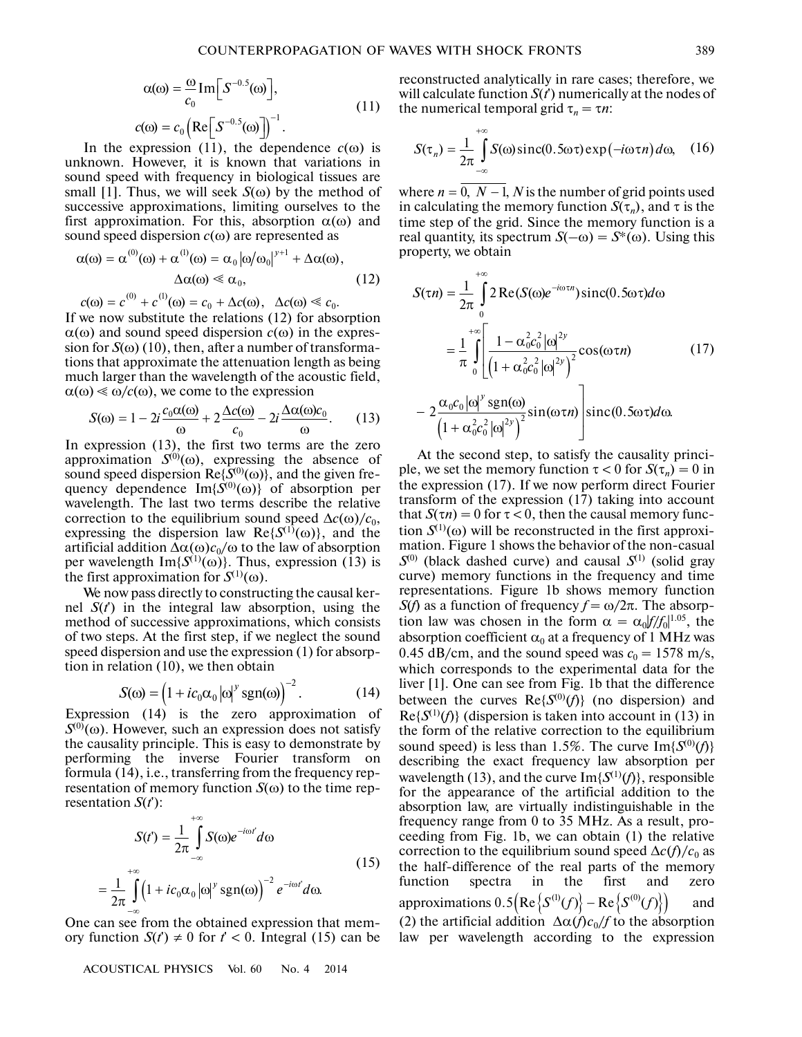$$
\alpha(\omega) = \frac{\omega}{c_0} \operatorname{Im} \left[ S^{-0.5}(\omega) \right],
$$
  
\n
$$
c(\omega) = c_0 \left( \operatorname{Re} \left[ S^{-0.5}(\omega) \right] \right)^{-1}.
$$
\n(11)

In the expression (11), the dependence  $c(\omega)$  is unknown. However, it is known that variations in sound speed with frequency in biological tissues are small [1]. Thus, we will seek  $S(\omega)$  by the method of successive approximations, limiting ourselves to the first approximation. For this, absorption  $\alpha(\omega)$  and sound speed dispersion *с*(ω) are represented as

$$
\alpha(\omega) = \alpha^{(0)}(\omega) + \alpha^{(1)}(\omega) = \alpha_0 |\omega/\omega_0|^{\gamma+1} + \Delta \alpha(\omega),
$$
  
 
$$
\Delta \alpha(\omega) \ll \alpha_0,
$$
 (12)

$$
c(\omega) = c^{(0)} + c^{(1)}(\omega) = c_0 + \Delta c(\omega), \quad \Delta c(\omega) \ll c_0.
$$

If we now substitute the relations (12) for absorption  $\alpha(\omega)$  and sound speed dispersion  $c(\omega)$  in the expression for  $S(\omega)$  (10), then, after a number of transformations that approximate the attenuation length as being much larger than the wavelength of the acoustic field,  $\alpha(\omega) \leq \omega/c(\omega)$ , we come to the expression

$$
S(\omega) = 1 - 2i \frac{c_0 \alpha(\omega)}{\omega} + 2 \frac{\Delta c(\omega)}{c_0} - 2i \frac{\Delta \alpha(\omega) c_0}{\omega}.
$$
 (13)

In expression (13), the first two terms are the zero approximation  $S^{(0)}(\omega)$ , expressing the absence of sound speed dispersion  $\text{Re}\lbrace S^{(0)}(\omega)\rbrace$ , and the given frequency dependence  $Im{S^{(0)}(\omega)}$  of absorption per wavelength. The last two terms describe the relative correction to the equilibrium sound speed  $\Delta c(\omega)/c_0$ , expressing the dispersion law  $\text{Re}\lbrace S^{(1)}(\omega)\rbrace$ , and the artificial addition  $\Delta\alpha(\omega)c_0/\omega$  to the law of absorption per wavelength Im{ $S^{(1)}(\omega)$ <sup>2</sup>}. Thus, expression (13) is the first approximation for  $S^{(1)}(\omega)$ .

We now pass directly to constructing the causal ker nel *S*(*t*') in the integral law absorption, using the method of successive approximations, which consists of two steps. At the first step, if we neglect the sound<br>speed dispersion and use the expression (1) for absorp-<br>tion in relation (10), we then obtain<br> $S(\omega) = (1 + ic_0 \alpha_0 |\omega|^y \text{sgn}(\omega))^{-2}$ . (14) speed dispersion and use the expression (1) for absorp tion in relation (10), we then obtain

$$
S(\omega) = \left(1 + ic_0 \alpha_0 |\omega|^y \text{sgn}(\omega)\right)^{-2}.
$$
 (14)

Expression (14) is the zero approximation of  $S^{(0)}(\omega)$ . However, such an expression does not satisfy the causality principle. This is easy to demonstrate by performing the inverse Fourier transform on formula (14), i.e., transferring from the frequency rep resentation of memory function  $S(\omega)$  to the time representation *S*(*t*'):  $+\infty$ 

$$
S(t') = \frac{1}{2\pi} \int_{-\infty}^{\infty} S(\omega) e^{-i\omega t} d\omega
$$
  
= 
$$
\frac{1}{2\pi} \int_{-\infty}^{+\infty} \left(1 + ic_0 \alpha_0 |\omega|^{y} sgn(\omega)\right)^{-2} e^{-i\omega t} d\omega.
$$
 (15)

One can see from the obtained expression that mem ory function  $S(t) \neq 0$  for  $t' < 0$ . Integral (15) can be

ACOUSTICAL PHYSICS Vol. 60 No. 4 2014

reconstructed analytically in rare cases; therefore, we will calculate function *S*(*t*') numerically at the nodes of the numerical temporal grid  $\tau_n = \tau n$ :

$$
S(\tau_n) = \frac{1}{2\pi} \int_{-\infty}^{+\infty} S(\omega) \operatorname{sinc}(0.5\omega \tau) \exp(-i\omega \tau n) d\omega, \quad (16)
$$

where  $n = \overline{0, N-1}$ , *N* is the number of grid points used in calculating the memory function  $S(\tau_n)$ , and  $\tau$  is the time step of the grid. Since the memory function is a real quantity, its spectrum  $S(-\omega) = S^*(\omega)$ . Using this property, we obtain

$$
S(\tau n) = \frac{1}{2\pi} \int_{0}^{+\infty} 2 \operatorname{Re}(S(\omega)e^{-i\omega\tau n}) \operatorname{sinc}(0.5\omega\tau) d\omega
$$
  
\n
$$
= \frac{1}{\pi} \int_{0}^{+\infty} \left[ \frac{1 - \alpha_0^2 c_0^2 |\omega|^{2y}}{\left(1 + \alpha_0^2 c_0^2 |\omega|^{2y}\right)^2} \cos(\omega\tau n) \right] (17)
$$
  
\n
$$
- 2 \frac{\alpha_0 c_0 |\omega|^y \operatorname{sgn}(\omega)}{\left(1 + \alpha_0^2 c_0^2 |\omega|^{2y}\right)^2} \sin(\omega\tau n) \right] \operatorname{sinc}(0.5\omega\tau) d\omega.
$$

At the second step, to satisfy the causality princi ple, we set the memory function  $\tau < 0$  for  $S(\tau_n) = 0$  in the expression (17). If we now perform direct Fourier transform of the expression (17) taking into account that  $S(\tau n) = 0$  for  $\tau < 0$ , then the causal memory function  $S^{(1)}(\omega)$  will be reconstructed in the first approximation. Figure 1 shows the behavior of the non-casual  $S^{(0)}$  (black dashed curve) and causal  $S^{(1)}$  (solid gray curve) memory functions in the frequency and time representations. Figure 1b shows memory function *S*(*f*) as a function of frequency  $f = \omega/2\pi$ . The absorption law was chosen in the form  $\alpha = \alpha_0 |f/f_0|^{1.05}$ , the absorption coefficient  $\alpha_0$  at a frequency of 1 MHz was 0.45 dB/cm, and the sound speed was  $c_0 = 1578$  m/s, which corresponds to the experimental data for the liver [1]. One can see from Fig. 1b that the difference between the curves  $\text{Re}\{S^{(0)}(f)\}\$  (no dispersion) and  $\text{Re}\{S^{(1)}(f)\}\$  (dispersion is taken into account in (13) in the form of the relative correction to the equilibrium sound speed) is less than 1.5%. The curve  $Im{S^{(0)}(f)}$ describing the exact frequency law absorption per wavelength (13), and the curve  $Im{S^{(1)}(f)}$ , responsible for the appearance of the artificial addition to the absorption law, are virtually indistinguishable in the frequency range from 0 to 35 MHz. As a result, pro ceeding from Fig. 1b, we can obtain (1) the relative correction to the equilibrium sound speed  $\Delta c(f)/c_0$  as the half-difference of the real parts of the memory function spectra in the first and zero requency range from 0.60 35 MTLZ. As a resurt, pro-<br>ceeding from Fig. 1b, we can obtain (1) the relative<br>correction to the equilibrium sound speed  $\Delta c(f)/c_0$  as<br>the half-difference of the real parts of the memory<br>function (2) the artificial addition  $\Delta \alpha(f) c_0/f$  to the absorption law per wavelength according to the expression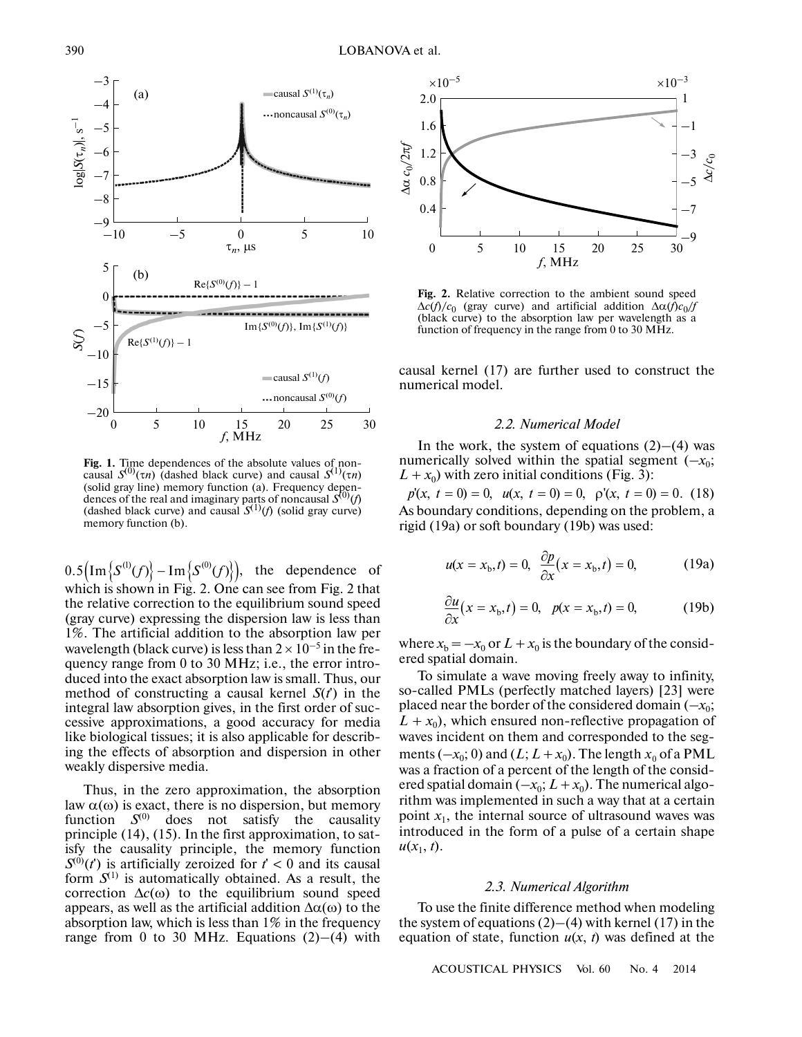

(dences of the real and imaginary parts of noncausal  $S^{(0)}(f)$ <br>(dashed black curve) and causal  $S^{(1)}(f)$  (solid gray curve)<br>memory function (b).<br>0.5  $\left(\text{Im}\left\{S^{(1)}(f)\right\} - \text{Im}\left\{S^{(0)}(f)\right\}\right)$ , the dependence **Fig. 1.** Time dependences of the absolute values of noncausal  $S^{(0)}(\tau n)$  (dashed black curve) and causal  $S^{(1)}(\tau n)$ (solid gray line) memory function (a). Frequency depen- (dashed black curve) and causal  $S^{(1)}(f)$  (solid gray curve) memory function (b).

 $0.5\left(\text{Im}\left\{S^{(1)}(f)\right\}-\text{Im}\left\{S^{(0)}(f)\right\}\right)$ , the dependence of which is shown in Fig. 2. One can see from Fig. 2 that the relative correction to the equilibrium sound speed (gray curve) expressing the dispersion law is less than 1%. The artificial addition to the absorption law per wavelength (black curve) is less than  $2 \times 10^{-5}$  in the frequency range from 0 to 30 MHz; i.e., the error intro duced into the exact absorption law is small. Thus, our method of constructing a causal kernel  $S(t)$  in the integral law absorption gives, in the first order of suc cessive approximations, a good accuracy for media like biological tissues; it is also applicable for describ ing the effects of absorption and dispersion in other weakly dispersive media.

Thus, in the zero approximation, the absorption law  $α(ω)$  is exact, there is no dispersion, but memory function  $S^{(0)}$  does not satisfy the causality principle (14), (15). In the first approximation, to sat isfy the causality principle, the memory function  $S^{(0)}(t')$  is artificially zeroized for  $t' < 0$  and its causal form  $S^{(1)}$  is automatically obtained. As a result, the correction  $\Delta c(\omega)$  to the equilibrium sound speed appears, as well as the artificial addition  $Δα(ω)$  to the absorption law, which is less than 1% in the frequency range from 0 to 30 MHz. Equations  $(2)$ – $(4)$  with



**Fig. 2.** Relative correction to the ambient sound speed  $\Delta c(f)/c_0$  (gray curve) and artificial addition  $\Delta \alpha(f)c_0/f$ (black curve) to the absorption law per wavelength as a function of frequency in the range from 0 to 30 MHz.

causal kernel (17) are further used to construct the numerical model.

#### *2.2. Numerical Model*

In the work, the system of equations  $(2)$ – $(4)$  was numerically solved within the spatial segment  $(-x_0;$  $L + x_0$ ) with zero initial conditions (Fig. 3):

 $p(x, t = 0) = 0$ ,  $u(x, t = 0) = 0$ ,  $p'(x, t = 0) = 0$ . (18) As boundary conditions, depending on the problem, a rigid (19a) or soft boundary (19b) was used:

$$
u(x = x_b, t) = 0, \frac{\partial p}{\partial x}(x = x_b, t) = 0,
$$
 (19a)

$$
\frac{\partial u}{\partial x}(x = xb, t) = 0, \quad p(x = xb, t) = 0,
$$
 (19b)

where  $x_b = -x_0$  or  $L + x_0$  is the boundary of the considered spatial domain.

To simulate a wave moving freely away to infinity, so-called PMLs (perfectly matched layers) [23] were placed near the border of the considered domain  $(-x_0;$  $L + x_0$ ), which ensured non-reflective propagation of waves incident on them and corresponded to the seg ments  $(-x_0; 0)$  and  $(L; L + x_0)$ . The length  $x_0$  of a PML was a fraction of a percent of the length of the consid ered spatial domain  $(-x_0; L + x_0)$ . The numerical algorithm was implemented in such a way that at a certain point  $x_1$ , the internal source of ultrasound waves was introduced in the form of a pulse of a certain shape  $u(x_1, t)$ .

#### *2.3. Numerical Algorithm*

To use the finite difference method when modeling the system of equations  $(2)$ – $(4)$  with kernel (17) in the equation of state, function  $u(x, t)$  was defined at the

ACOUSTICAL PHYSICS Vol. 60 No. 4 2014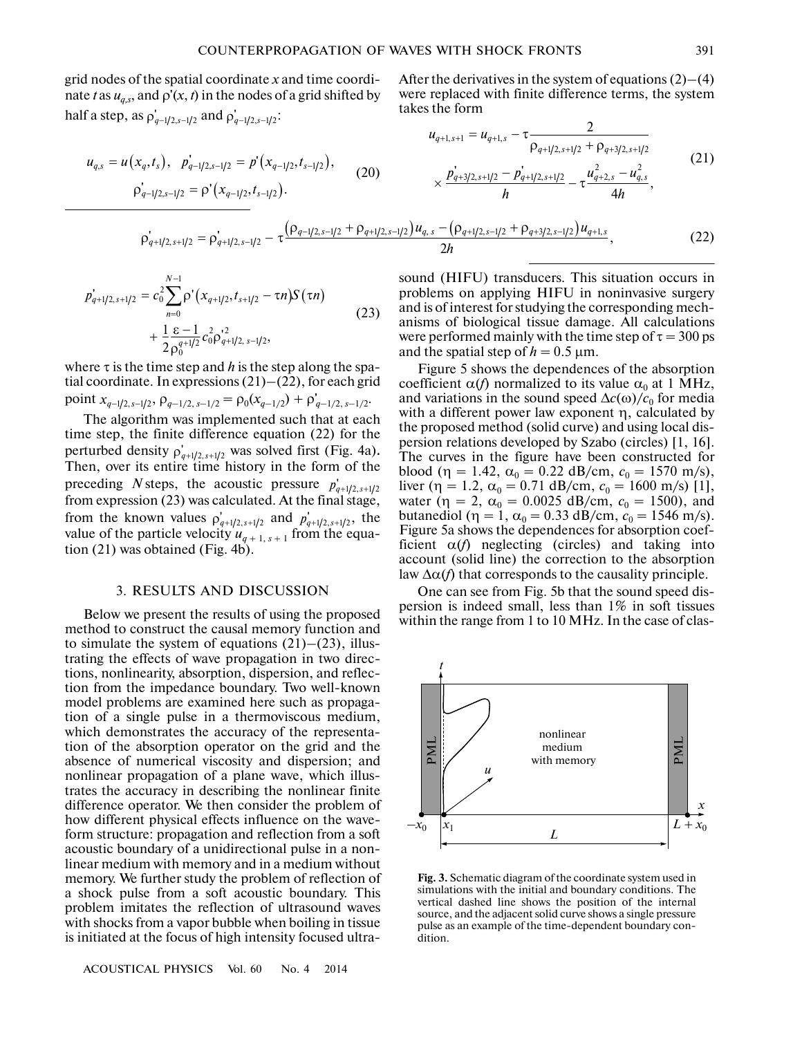grid nodes of the spatial coordinate *x* and time coordi nate *t* as  $u_{q,s}$ , and  $\rho'(x, t)$  in the nodes of a grid shifted by half a step, as  $\rho'_{q-1/2,s-1/2}$  and  $\rho'_{q-1/2,s-1/2}$ : the spatial coordinate *x*<br>hd ρ'(*x*, *t*) in the nodes  $ρ'_{q-1/2, s-1/2}$  and  $ρ'_{q-1/2, s-1/2}$ 

(20)  $u_{q,s} = u(x_q, t_s), \ \ p'_{q-1/2,s-1/2} = p'(x_{q-1/2}, t_{s-1/2}),$  $\rho'_{q-1/2,s-1/2} = \rho' (x_{q-1/2}, t_{s-1/2}).$  $(-, t_s), \quad p'_{q-1/2, s-1/2} = p'$  $= u(x_q,t_s), \ \ \overline{p}_{q-1/2,s-1/2} =$ 

$$
\rho'_{q+1/2,s+1/2} = \rho'_{q+1/2,s-1/2} - \tau \frac{\left(\rho_{q-1/2,s-1/2} + \rho_{q+1/2,s-1/2}\right)u_{q,s} - \left(\rho_{q+1/2,s-1/2} + \rho_{q+3/2,s-1/2}\right)u_{q+1,s}}{2h},\tag{22}
$$

$$
p'_{q+1/2,s+1/2} = c_0^2 \sum_{n=0}^{N-1} \rho' (x_{q+1/2}, t_{s+1/2} - \tau n) S(\tau n)
$$
  
+ 
$$
\frac{1}{2} \frac{\varepsilon - 1}{\rho_0^{q+1/2}} c_0^2 \rho_{q+1/2,s-1/2}^{1/2},
$$
 (23)

where τ is the time step and *h* is the step along the spa tial coordinate. In expressions (21)–(22), for each grid where  $\tau$  is the time step and *h* is the step along the spatial coordinate. In expressions (21)–(22), for each gripoint  $x_{q-1/2, s-1/2}$ ,  $\rho_{q-1/2, s-1/2} = \rho_0(x_{q-1/2}) + \rho'_{q-1/2, s-1/2}$ .

The algorithm was implemented such that at each time step, the finite difference equation (22) for the perturbed density  $\rho'_{q+1/2, s+1/2}$  was solved first (Fig. 4a). Then, over its entire time history in the form of the preceding *N* steps, the acoustic pressure  $p'_{q+1/2, s+1/2}$ from expression (23) was calculated. At the final stage, from the known values  $\rho'_{a+1/2, s+1/2}$  and  $p'_{a+1/2, s+1/2}$ , the value of the particle velocity  $u_{q+1,s+1}$  from the equation (21) was obtained (Fig. 4b).  $p'_{q+1/2, s+1/2}$  and  $p'_{q+1/2, s+1/2}$ 

### 3. RESULTS AND DISCUSSION

Below we present the results of using the proposed method to construct the causal memory function and to simulate the system of equations  $(21)$ – $(23)$ , illustrating the effects of wave propagation in two direc tions, nonlinearity, absorption, dispersion, and reflec tion from the impedance boundary. Two well-known model problems are examined here such as propaga tion of a single pulse in a thermoviscous medium, which demonstrates the accuracy of the representa tion of the absorption operator on the grid and the absence of numerical viscosity and dispersion; and nonlinear propagation of a plane wave, which illus trates the accuracy in describing the nonlinear finite difference operator. We then consider the problem of how different physical effects influence on the wave form structure: propagation and reflection from a soft acoustic boundary of a unidirectional pulse in a non linear medium with memory and in a medium without memory. We further study the problem of reflection of a shock pulse from a soft acoustic boundary. This problem imitates the reflection of ultrasound waves with shocks from a vapor bubble when boiling in tissue is initiated at the focus of high intensity focused ultra-

ACOUSTICAL PHYSICS Vol. 60 No. 4 2014

After the derivatives in the system of equations  $(2)$ – $(4)$ were replaced with finite difference terms, the system takes the form

$$
u_{q+1,s+1} = u_{q+1,s} - \tau \frac{2}{\rho_{q+1/2,s+1/2} + \rho_{q+3/2,s+1/2}}
$$
  
\n(20) 
$$
\times \frac{p_{q+3/2,s+1/2} - p_{q+1/2,s+1/2}}{h} - \tau \frac{u_{q+2,s}^2 - u_{q,s}^2}{4h},
$$
  
\n(21)

$$
\sigma_{q+1/2,s+1/2} = \rho_{q+1/2,s-1/2}^{\dagger} - \tau \frac{\left(\rho_{q-1/2,s-1/2} + \rho_{q+1/2,s-1/2}\right)u_{q,s} - \left(\rho_{q+1/2,s-1/2} + \rho_{q+3/2,s-1/2}\right)u_{q+1,s}}{2h},\tag{22}
$$

sound (HIFU) transducers. This situation occurs in problems on applying HIFU in noninvasive surgery and is of interest for studying the corresponding mech anisms of biological tissue damage. All calculations were performed mainly with the time step of  $\tau = 300 \text{ ps}$ and the spatial step of  $h = 0.5 \,\text{\mu m}$ .

Figure 5 shows the dependences of the absorption coefficient  $\alpha(f)$  normalized to its value  $\alpha_0$  at 1 MHz, and variations in the sound speed  $\Delta c(\omega)/c_0$  for media with a different power law exponent η, calculated by the proposed method (solid curve) and using local dis persion relations developed by Szabo (circles) [1, 16]. The curves in the figure have been constructed for blood ( $\eta = 1.42$ ,  $\alpha_0 = 0.22$  dB/cm,  $c_0 = 1570$  m/s), liver ( $\eta = 1.2$ ,  $\alpha_0 = 0.71$  dB/cm,  $c_0 = 1600$  m/s) [1], water ( $\eta = 2$ ,  $\alpha_0 = 0.0025$  dB/cm,  $c_0 = 1500$ ), and butanediol ( $\eta = 1$ ,  $\alpha_0 = 0.33$  dB/cm,  $c_0 = 1546$  m/s). Figure 5a shows the dependences for absorption coef ficient  $\alpha(f)$  neglecting (circles) and taking into account (solid line) the correction to the absorption law  $\Delta \alpha(f)$  that corresponds to the causality principle.

One can see from Fig. 5b that the sound speed dis persion is indeed small, less than 1% in soft tissues within the range from 1 to 10 MHz. In the case of clas-



**Fig. 3.** Schematic diagram of the coordinate system used in simulations with the initial and boundary conditions. The vertical dashed line shows the position of the internal source, and the adjacent solid curve shows a single pressure pulse as an example of the time-dependent boundary con dition.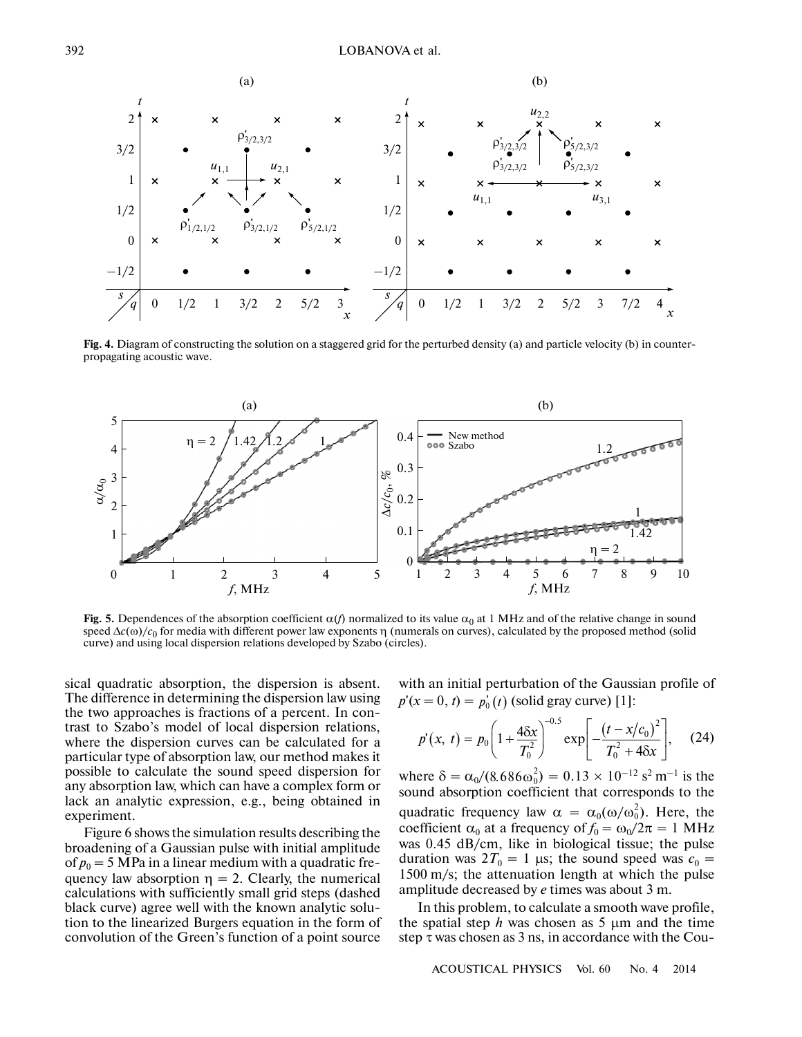

**Fig. 4.** Diagram of constructing the solution on a staggered grid for the perturbed density (a) and particle velocity (b) in counter propagating acoustic wave.



**Fig. 5.** Dependences of the absorption coefficient  $\alpha(f)$  normalized to its value  $\alpha_0$  at 1 MHz and of the relative change in sound speed  $\Delta c(\omega)/c_0$  for media with different power law exponents η (numerals on curves), calculated by the proposed method (solid curve) and using local dispersion relations developed by Szabo (circles).

sical quadratic absorption, the dispersion is absent. The difference in determining the dispersion law using the two approaches is fractions of a percent. In con trast to Szabo's model of local dispersion relations, where the dispersion curves can be calculated for a particular type of absorption law, our method makes it possible to calculate the sound speed dispersion for any absorption law, which can have a complex form or lack an analytic expression, e.g., being obtained in experiment.

Figure 6 shows the simulation results describing the broadening of a Gaussian pulse with initial amplitude of  $p_0 = 5$  MPa in a linear medium with a quadratic frequency law absorption  $\eta = 2$ . Clearly, the numerical calculations with sufficiently small grid steps (dashed black curve) agree well with the known analytic solu tion to the linearized Burgers equation in the form of convolution of the Green's function of a point source with an initial perturbation of the Gaussian profile of  $p'(x = 0, t) = p'_0(t)$  (solid gray curve) [1]:

$$
p'(x, t) = p_0 \left( 1 + \frac{4\delta x}{T_0^2} \right)^{-0.5} \exp \left[ -\frac{\left( t - x/c_0 \right)^2}{T_0^2 + 4\delta x} \right], \quad (24)
$$

where  $\delta = \alpha_0 / (8.686 \omega_0^2) = 0.13 \times 10^{-12} \text{ s}^2 \text{ m}^{-1}$  is the sound absorption coefficient that corresponds to the quadratic frequency law  $\alpha = \alpha_0(\omega/\omega_0^2)$ . Here, the coefficient  $\alpha_0$  at a frequency of  $f_0 = \omega_0/2\pi = 1$  MHz was 0.45 dB/cm, like in biological tissue; the pulse duration was  $2T_0 = 1$  µs; the sound speed was  $c_0 =$ 1500 m/s; the attenuation length at which the pulse amplitude decreased by *е* times was about 3 m.

In this problem, to calculate a smooth wave profile, the spatial step  $h$  was chosen as  $5 \mu m$  and the time step τ was chosen as 3 ns, in accordance with the Cou-

ACOUSTICAL PHYSICS Vol. 60 No. 4 2014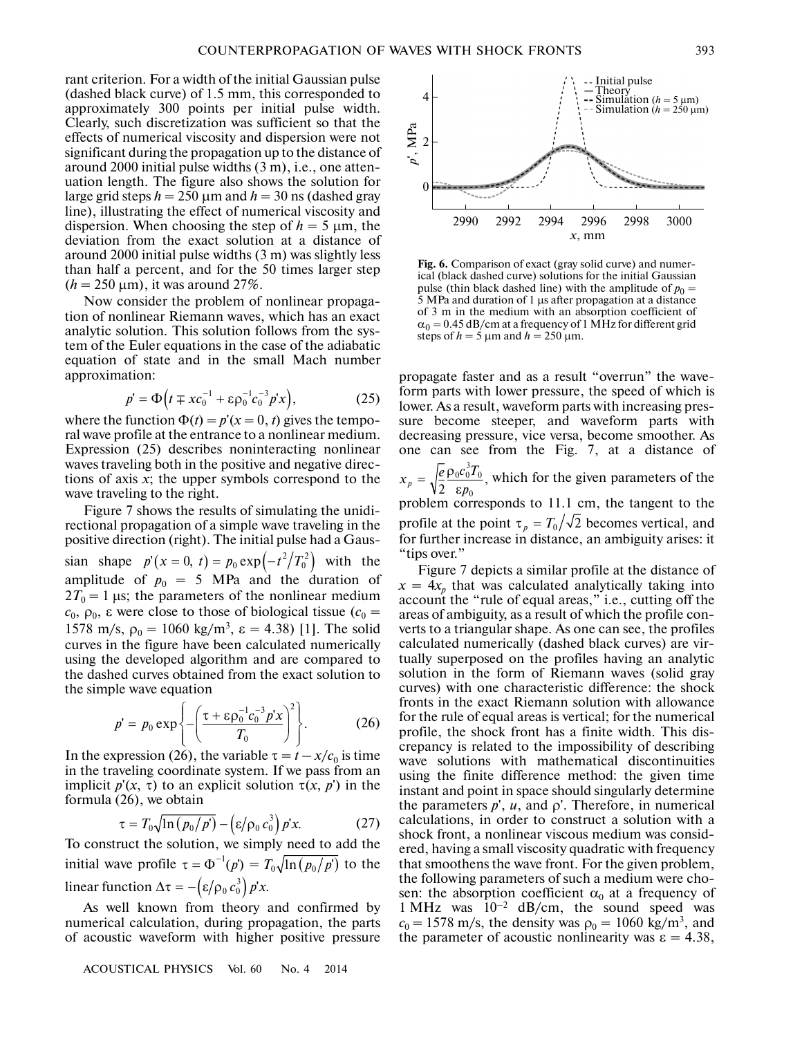rant criterion. For a width of the initial Gaussian pulse (dashed black curve) of 1.5 mm, this corresponded to approximately 300 points per initial pulse width. Clearly, such discretization was sufficient so that the effects of numerical viscosity and dispersion were not significant during the propagation up to the distance of around 2000 initial pulse widths (3 m), i.e., one atten uation length. The figure also shows the solution for large grid steps  $h = 250 \text{ µm}$  and  $h = 30 \text{ ns}$  (dashed gray line), illustrating the effect of numerical viscosity and dispersion. When choosing the step of  $h = 5 \mu m$ , the deviation from the exact solution at a distance of around 2000 initial pulse widths (3 m) was slightly less than half a percent, and for the 50 times larger step  $(h = 250 \text{ µm})$ , it was around 27%.

Now consider the problem of nonlinear propaga tion of nonlinear Riemann waves, which has an exact analytic solution. This solution follows from the sys tem of the Euler equations in the case of the adiabatic tem of the Euler equations in the case of the adiabatic<br>equation of state and in the small Mach number<br>approximation:<br> $p' = \Phi(t \mp xc_0^{-1} + \epsilon \rho_0^{-1}c_0^{-3}p'x)$ , (25) approximation:

$$
p' = \Phi(t \mp xc_0^{-1} + \varepsilon \rho_0^{-1} c_0^{-3} p'x), \qquad (25)
$$

where the function  $\Phi(t) = p'(x = 0, t)$  gives the temporal wave profile at the entrance to a nonlinear medium. Expression (25) describes noninteracting nonlinear waves traveling both in the positive and negative direc tions of axis *x*; the upper symbols correspond to the wave traveling to the right.

Figure 7 shows the results of simulating the unidi rectional propagation of a simple wave traveling in the positive direction (right). The initial pulse had a Gaus sian shape  $p'(x = 0, t) = p_0 \exp(-t^2/T_0^2)$  with the amplitude of  $p_0 = 5$  MPa and the duration of  $2T_0 = 1$  μs; the parameters of the nonlinear medium  $c_0$ ,  $ρ_0$ , ε were close to those of biological tissue ( $c_0$  = 1578 m/s,  $ρ_0 = 1060 \text{ kg/m}^3$ ,  $ε = 4.38$ ) [1]. The solid curves in the figure have been calculated numerically using the developed algorithm and are compared to the simple wave equation

using the developed algorithm and are configured to  
the dashed curves obtained from the exact solution to  
the simple wave equation  

$$
p' = p_0 \exp \left\{ -\left( \frac{\tau + \varepsilon \rho_0^{-1} c_0^{-3} p' x}{T_0} \right)^2 \right\}. \tag{26}
$$

In the expression (26), the variable  $\tau = t - x/c_0$  is time in the traveling coordinate system. If we pass from an implicit  $p'(x, \tau)$  to an explicit solution  $\tau(x, p')$  in the formula (26), we obtain

$$
\tau = T_0 \sqrt{\ln \left( p_0 / p' \right)} - \left( \varepsilon / \rho_0 c_0^3 \right) p' x. \tag{27}
$$

To construct the solution, we simply need to add the  $\tau = T_0 \sqrt{\ln (p_0/p')} - (\varepsilon/\rho_0 c_0^3) p'x.$  (27)<br>To construct the solution, we simply need to add the initial wave profile  $\tau = \Phi^{-1}(p) = T_0 \sqrt{\ln (p_0/p')}$  to the linear function  $\Delta \tau = -\left(\frac{\varepsilon}{\rho_0} c_0^3\right) p' x$ .

As well known from theory and confirmed by numerical calculation, during propagation, the parts of acoustic waveform with higher positive pressure

ACOUSTICAL PHYSICS Vol. 60 No. 4 2014



**Fig. 6.** Comparison of exact (gray solid curve) and numer ical (black dashed curve) solutions for the initial Gaussian pulse (thin black dashed line) with the amplitude of  $p_0 =$ 5 MPa and duration of 1 µs after propagation at a distance of 3 m in the medium with an absorption coefficient of  $\alpha_0 = 0.45$  dB/cm at a frequency of 1 MHz for different grid steps of  $h = 5 \mu m$  and  $h = 250 \mu m$ .

propagate faster and as a result "overrun" the wave form parts with lower pressure, the speed of which is lower. As a result, waveform parts with increasing pres sure become steeper, and waveform parts with decreasing pressure, vice versa, become smoother. As one can see from the Fig. 7, at a distance of which for the given parameters of the problem corresponds to 11.1 cm, the tangent to the profile at the point  $\tau_p = T_0 / \sqrt{2}$  becomes vertical, and for further increase in distance, an ambiguity arises: it "tips over."  $_0c_0^3T_0$  $x_p = \sqrt{\frac{e}{2} \frac{\rho_0 c_0^3 T_0}{\epsilon p_0}},$  $=\sqrt{\frac{e}{2}}\frac{\rho_0 c_0^2}{\epsilon p}$  $\tau_{_{P}}=T_{0}/\sqrt{2}$ 

Figure 7 depicts a similar profile at the distance of  $x = 4x_p$  that was calculated analytically taking into account the "rule of equal areas," i.e., cutting off the areas of ambiguity, as a result of which the profile con verts to a triangular shape. As one can see, the profiles calculated numerically (dashed black curves) are vir tually superposed on the profiles having an analytic solution in the form of Riemann waves (solid gray curves) with one characteristic difference: the shock fronts in the exact Riemann solution with allowance for the rule of equal areas is vertical; for the numerical profile, the shock front has a finite width. This dis crepancy is related to the impossibility of describing wave solutions with mathematical discontinuities using the finite difference method: the given time instant and point in space should singularly determine the parameters  $p'$ ,  $u$ , and  $\rho'$ . Therefore, in numerical calculations, in order to construct a solution with a shock front, a nonlinear viscous medium was consid ered, having a small viscosity quadratic with frequency that smoothens the wave front. For the given problem, the following parameters of such a medium were cho sen: the absorption coefficient  $\alpha_0$  at a frequency of  $1 \text{ MHz}$  was  $10^{-2}$  dB/cm, the sound speed was  $c_0 = 1578$  m/s, the density was  $\rho_0 = 1060$  kg/m<sup>3</sup>, and the parameter of acoustic nonlinearity was  $\varepsilon = 4.38$ ,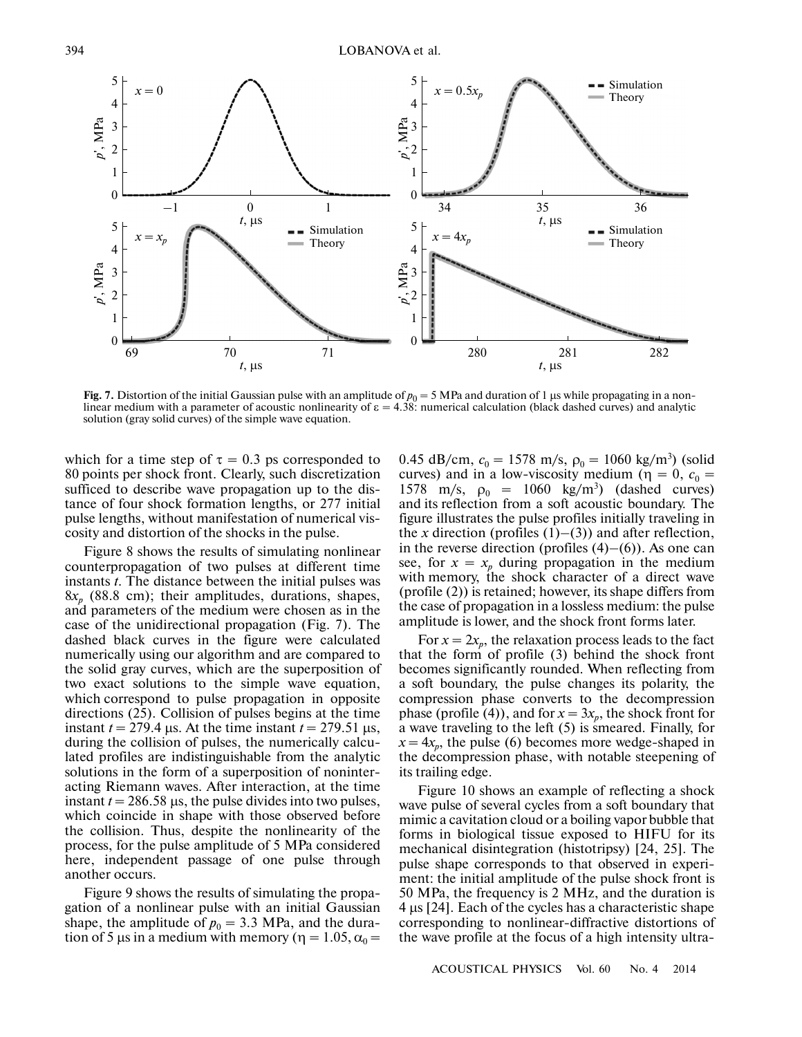

**Fig. 7.** Distortion of the initial Gaussian pulse with an amplitude of  $p_0 = 5$  MPa and duration of 1 µs while propagating in a nonlinear medium with a parameter of acoustic nonlinearity of  $\varepsilon = 4.38$ : numerical calculation (black dashed curves) and analytic solution (gray solid curves) of the simple wave equation.

which for a time step of  $\tau = 0.3$  ps corresponded to 80 points per shock front. Clearly, such discretization sufficed to describe wave propagation up to the dis tance of four shock formation lengths, or 277 initial pulse lengths, without manifestation of numerical vis cosity and distortion of the shocks in the pulse.

Figure 8 shows the results of simulating nonlinear counterpropagation of two pulses at different time instants *t*. The distance between the initial pulses was 8*xp* (88.8 cm); their amplitudes, durations, shapes, and parameters of the medium were chosen as in the case of the unidirectional propagation (Fig. 7). The dashed black curves in the figure were calculated numerically using our algorithm and are compared to the solid gray curves, which are the superposition of two exact solutions to the simple wave equation, which correspond to pulse propagation in opposite directions (25). Collision of pulses begins at the time instant  $t = 279.4$  µs. At the time instant  $t = 279.51$  µs, during the collision of pulses, the numerically calcu lated profiles are indistinguishable from the analytic solutions in the form of a superposition of noninter acting Riemann waves. After interaction, at the time instant  $t = 286.58$  µs, the pulse divides into two pulses, which coincide in shape with those observed before the collision. Thus, despite the nonlinearity of the process, for the pulse amplitude of 5 MPa considered here, independent passage of one pulse through another occurs.

Figure 9 shows the results of simulating the propa gation of a nonlinear pulse with an initial Gaussian shape, the amplitude of  $p_0 = 3.3$  MPa, and the duration of 5 μs in a medium with memory ( $\eta = 1.05$ ,  $\alpha_0 =$ 

0.45 dB/cm,  $c_0 = 1578$  m/s,  $\rho_0 = 1060$  kg/m<sup>3</sup>) (solid curves) and in a low-viscosity medium ( $\eta = 0$ ,  $c_0 =$ 1578 m/s,  $ρ_0 = 1060$  kg/m<sup>3</sup>) (dashed curves) and its reflection from a soft acoustic boundary. The figure illustrates the pulse profiles initially traveling in and its reflection from a soft acoustic boundary. The figure illustrates the pulse profiles initially traveling in the *x* direction (profiles  $(1)$ – $(3)$ ) and after reflection, figure illustrates the pulse profiles initially traveling in<br>the x direction (profiles  $(1)$ – $(3)$ ) and after reflection,<br>in the reverse direction (profiles  $(4)$ – $(6)$ ). As one can see, for  $x = x_p$  during propagation in the medium with memory, the shock character of a direct wave (profile (2)) is retained; however, its shape differs from the case of propagation in a lossless medium: the pulse amplitude is lower, and the shock front forms later.

For  $x = 2x_p$ , the relaxation process leads to the fact that the form of profile (3) behind the shock front becomes significantly rounded. When reflecting from a soft boundary, the pulse changes its polarity, the compression phase converts to the decompression phase (profile (4)), and for  $x = 3x_p$ , the shock front for a wave traveling to the left (5) is smeared. Finally, for  $x = 4x_p$ , the pulse (6) becomes more wedge-shaped in the decompression phase, with notable steepening of its trailing edge.

Figure 10 shows an example of reflecting a shock wave pulse of several cycles from a soft boundary that mimic a cavitation cloud or a boiling vapor bubble that forms in biological tissue exposed to HIFU for its mechanical disintegration (histotripsy) [24, 25]. The pulse shape corresponds to that observed in experi ment: the initial amplitude of the pulse shock front is 50 MPa, the frequency is 2 MHz, and the duration is 4 µs [24]. Each of the cycles has a characteristic shape corresponding to nonlinear-diffractive distortions of the wave profile at the focus of a high intensity ultra-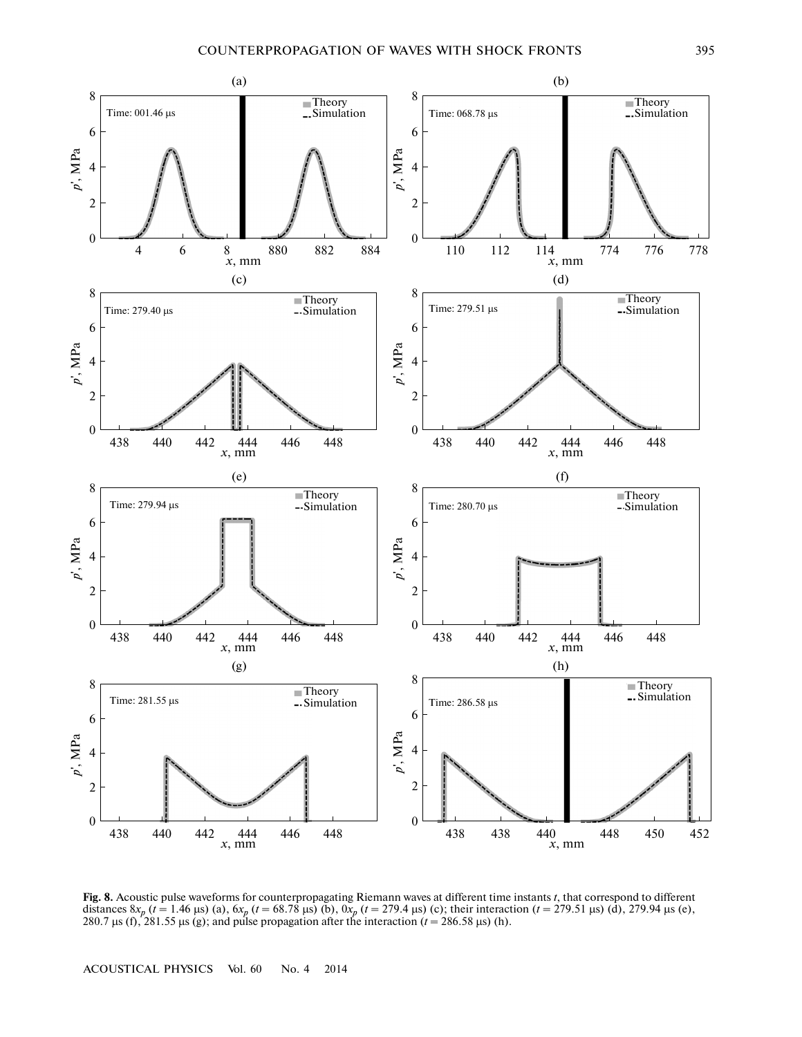

**Fig. 8.** Acoustic pulse waveforms for counterpropagating Riemann waves at different time instants *t*, that correspond to different distances  $8x_p$  ( $t = 1.46$  µs) (a),  $6x_p$  ( $t = 68.78$  µs) (b),  $0x_p$  ( $t = 279.4$  µs) (c); their interaction ( $t = 279.51$  µs) (d), 279.94 µs (e), 280.7  $\mu$ s (f), 281.55  $\mu$ s (g); and pulse propagation after the interaction ( $t = 286.58 \mu$ s) (h).

ACOUSTICAL PHYSICS Vol. 60 No. 4 2014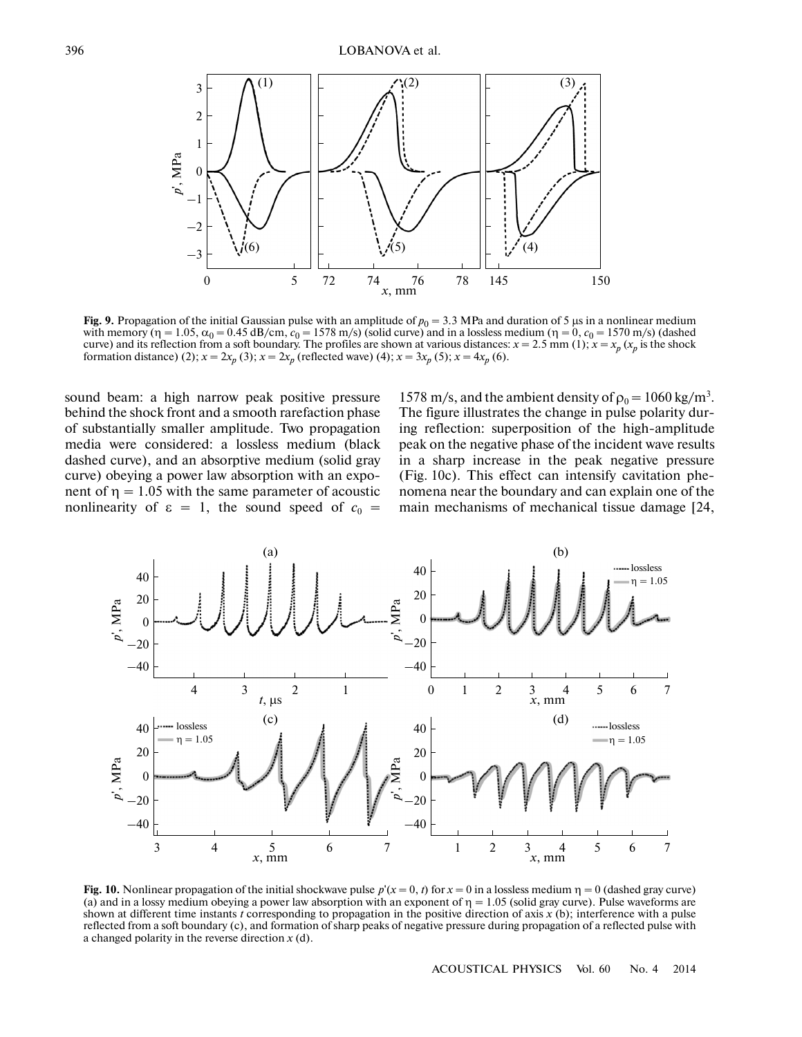

**Fig. 9.** Propagation of the initial Gaussian pulse with an amplitude of  $p_0 = 3.3$  MPa and duration of 5  $\mu$ s in a nonlinear medium with memory ( $\eta = 1.05$ ,  $\alpha_0 = 0.45$  dB/cm,  $c_0 = 1578$  m/s) (solid curve) and in a lossless medium ( $\eta = 0$ ,  $c_0 = 1570$  m/s) (dashed curve) and its reflection from a soft boundary. The profiles are shown at various distances:  $x = 2.5$  mm (1);  $x = x_p$  ( $x_p$  is the shock formation distance) (2);  $x = 2x_p$  (3);  $x = 2x_p$  (reflected wave) (4);  $x = 3x_p$  (5);  $x = 4x_p$  (6).

sound beam: a high narrow peak positive pressure behind the shock front and a smooth rarefaction phase of substantially smaller amplitude. Two propagation media were considered: a lossless medium (black dashed curve), and an absorptive medium (solid gray curve) obeying a power law absorption with an expo nent of  $\eta = 1.05$  with the same parameter of acoustic nonlinearity of  $\varepsilon = 1$ , the sound speed of  $c_0 =$ 

1578 m/s, and the ambient density of  $\rho_0 = 1060 \text{ kg/m}^3$ . The figure illustrates the change in pulse polarity dur ing reflection: superposition of the high-amplitude peak on the negative phase of the incident wave results in a sharp increase in the peak negative pressure (Fig. 10c). This effect can intensify cavitation phe nomena near the boundary and can explain one of the main mechanisms of mechanical tissue damage [24,



**Fig. 10.** Nonlinear propagation of the initial shockwave pulse  $p'(x = 0, t)$  for  $x = 0$  in a lossless medium  $\eta = 0$  (dashed gray curve) (a) and in a lossy medium obeying a power law absorption with an exponent of  $\eta = 1.05$  (solid gray curve). Pulse waveforms are shown at different time instants *t* corresponding to propagation in the positive direction of axis *x* (b); interference with a pulse reflected from a soft boundary (c), and formation of sharp peaks of negative pressure during propagation of a reflected pulse with a changed polarity in the reverse direction *x* (d).